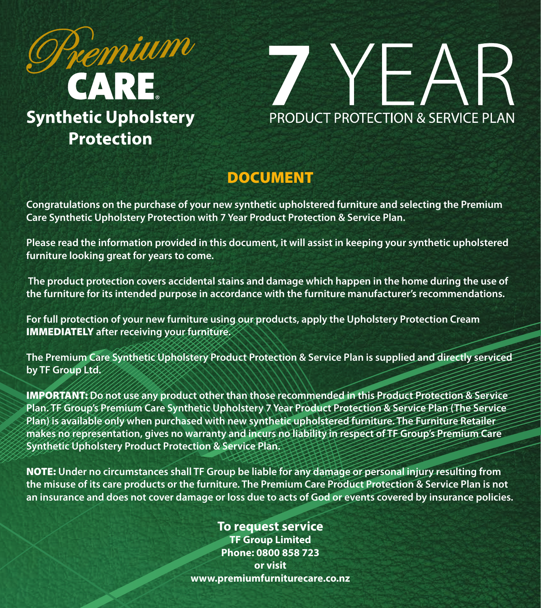



# DOCUMENT

**Congratulations on the purchase of your new synthetic upholstered furniture and selecting the Premium Care Synthetic Upholstery Protection with 7 Year Product Protection & Service Plan.**

**Please read the information provided in this document, it will assist in keeping your synthetic upholstered furniture looking great for years to come.**

 **The product protection covers accidental stains and damage which happen in the home during the use of the furniture for its intended purpose in accordance with the furniture manufacturer's recommendations.**

**For full protection of your new furniture using our products, apply the Upholstery Protection Cream**  IMMEDIATELY **after receiving your furniture.**

**The Premium Care Synthetic Upholstery Product Protection & Service Plan is supplied and directly serviced by TF Group Ltd.**

IMPORTANT: **Do not use any product other than those recommended in this Product Protection & Service Plan. TF Group's Premium Care Synthetic Upholstery 7 Year Product Protection & Service Plan (The Service Plan) is available only when purchased with new synthetic upholstered furniture. The Furniture Retailer makes no representation, gives no warranty and incurs no liability in respect of TF Group's Premium Care Synthetic Upholstery Product Protection & Service Plan.**

NOTE: **Under no circumstances shall TF Group be liable for any damage or personal injury resulting from the misuse of its care products or the furniture. The Premium Care Product Protection & Service Plan is not an insurance and does not cover damage or loss due to acts of God or events covered by insurance policies.**

### **To request service**

**TF Group Limited Phone: 0800 858 723 or visit www.premiumfurniturecare.co.nz**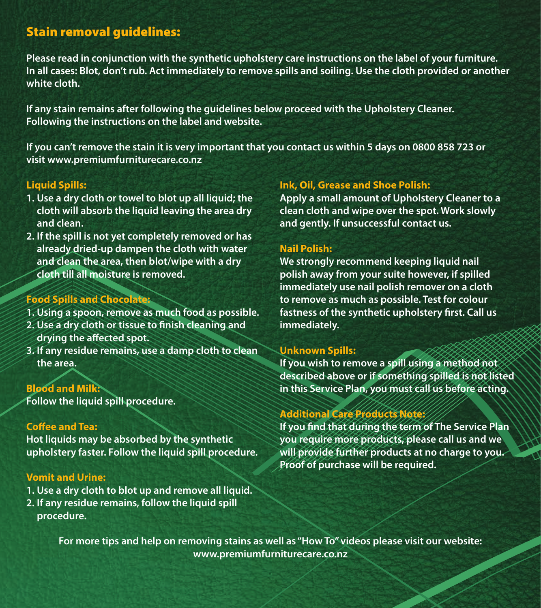## Stain removal guidelines:

**Please read in conjunction with the synthetic upholstery care instructions on the label of your furniture. In all cases: Blot, don't rub. Act immediately to remove spills and soiling. Use the cloth provided or another white cloth.**

**If any stain remains after following the guidelines below proceed with the Upholstery Cleaner. Following the instructions on the label and website.**

**If you can't remove the stain it is very important that you contact us within 5 days on 0800 858 723 or visit www.premiumfurniturecare.co.nz**

### **Liquid Spills:**

- **1. Use a dry cloth or towel to blot up all liquid; the cloth will absorb the liquid leaving the area dry and clean.**
- **2. If the spill is not yet completely removed or has already dried-up dampen the cloth with water and clean the area, then blot/wipe with a dry cloth till all moisture is removed.**

### **Food Spills and Chocolate:**

- **1. Using a spoon, remove as much food as possible.**
- **2. Use a dry cloth or tissue to finish cleaning and drying the affected spot.**
- **3. If any residue remains, use a damp cloth to clean the area.**

#### **Blood and Milk:**

**Follow the liquid spill procedure.**

#### **Coffee and Tea:**

**Hot liquids may be absorbed by the synthetic upholstery faster. Follow the liquid spill procedure.**

#### **Vomit and Urine:**

- **1. Use a dry cloth to blot up and remove all liquid.**
- **2. If any residue remains, follow the liquid spill procedure.**

#### **Ink, Oil, Grease and Shoe Polish:**

**Apply a small amount of Upholstery Cleaner to a clean cloth and wipe over the spot. Work slowly and gently. If unsuccessful contact us.**

#### **Nail Polish:**

**We strongly recommend keeping liquid nail polish away from your suite however, if spilled immediately use nail polish remover on a cloth to remove as much as possible. Test for colour fastness of the synthetic upholstery first. Call us immediately.**

#### **Unknown Spills:**

**If you wish to remove a spill using a method not described above or if something spilled is not listed in this Service Plan, you must call us before acting.**

### **Additional Care Products Note:**

**If you find that during the term of The Service Plan you require more products, please call us and we will provide further products at no charge to you. Proof of purchase will be required.**

**For more tips and help on removing stains as well as "How To" videos please visit our website: www.premiumfurniturecare.co.nz**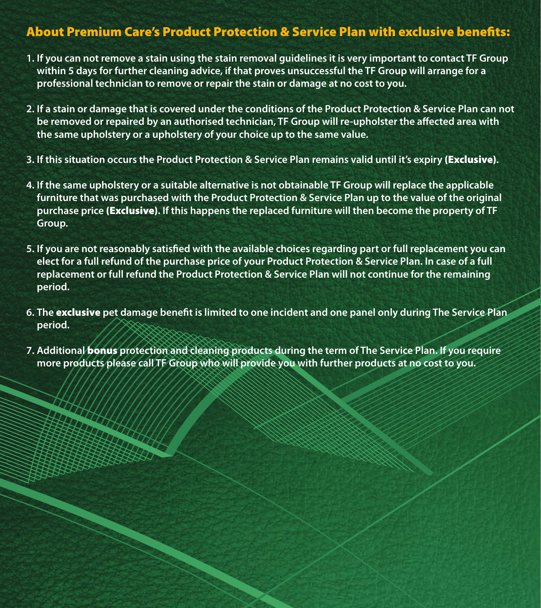## About Premium Care's Product Protection & Service Plan with exclusive benefits:

- **1. If you can not remove a stain using the stain removal guidelines it is very important to contact TF Group within 5 days for further cleaning advice, if that proves unsuccessful the TF Group will arrange for a professional technician to remove or repair the stain or damage at no cost to you.**
- **2. If a stain or damage that is covered under the conditions of the Product Protection & Service Plan can not be removed or repaired by an authorised technician, TF Group will re-upholster the affected area with the same upholstery or a upholstery of your choice up to the same value.**
- **3. If this situation occurs the Product Protection & Service Plan remains valid until it's expiry** (Exclusive)**.**
- **4. If the same upholstery or a suitable alternative is not obtainable TF Group will replace the applicable furniture that was purchased with the Product Protection & Service Plan up to the value of the original purchase price** (Exclusive)**. If this happens the replaced furniture will then become the property of TF Group.**
- **5. If you are not reasonably satisfied with the available choices regarding part or full replacement you can elect for a full refund of the purchase price of your Product Protection & Service Plan. In case of a full replacement or full refund the Product Protection & Service Plan will not continue for the remaining period.**
- **6. The** exclusive **pet damage benefit is limited to one incident and one panel only during The Service Plan period.**
- **7. Additional** bonus **protection and cleaning products during the term of The Service Plan. If you require more products please call TF Group who will provide you with further products at no cost to you.**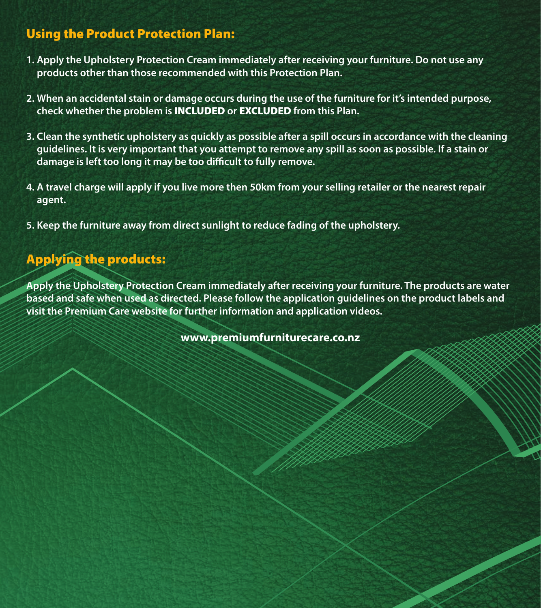## Using the Product Protection Plan:

- **1. Apply the Upholstery Protection Cream immediately after receiving your furniture. Do not use any products other than those recommended with this Protection Plan.**
- **2. When an accidental stain or damage occurs during the use of the furniture for it's intended purpose, check whether the problem is** INCLUDED **or** EXCLUDED **from this Plan.**
- **3. Clean the synthetic upholstery as quickly as possible after a spill occurs in accordance with the cleaning guidelines. It is very important that you attempt to remove any spill as soon as possible. If a stain or damage is left too long it may be too difficult to fully remove.**
- **4. A travel charge will apply if you live more then 50km from your selling retailer or the nearest repair agent.**
- **5. Keep the furniture away from direct sunlight to reduce fading of the upholstery.**

## Applying the products:

**Apply the Upholstery Protection Cream immediately after receiving your furniture. The products are water based and safe when used as directed. Please follow the application guidelines on the product labels and visit the Premium Care website for further information and application videos.**

**www.premiumfurniturecare.co.nz**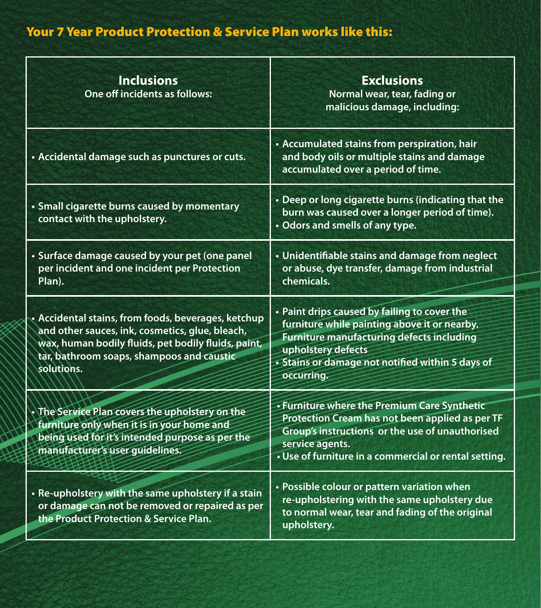# Your 7 Year Product Protection & Service Plan works like this:

| <b>Inclusions</b><br>One off incidents as follows:                                                                                                                                                                       | <b>Exclusions</b><br>Normal wear, tear, fading or<br>malicious damage, including:                                                                                                                                                 |
|--------------------------------------------------------------------------------------------------------------------------------------------------------------------------------------------------------------------------|-----------------------------------------------------------------------------------------------------------------------------------------------------------------------------------------------------------------------------------|
| • Accidental damage such as punctures or cuts.                                                                                                                                                                           | • Accumulated stains from perspiration, hair<br>and body oils or multiple stains and damage<br>accumulated over a period of time.                                                                                                 |
| · Small cigarette burns caused by momentary<br>contact with the upholstery.                                                                                                                                              | • Deep or long cigarette burns (indicating that the<br>burn was caused over a longer period of time).<br>• Odors and smells of any type.                                                                                          |
| · Surface damage caused by your pet (one panel<br>per incident and one incident per Protection<br>Plan).                                                                                                                 | • Unidentifiable stains and damage from neglect<br>or abuse, dye transfer, damage from industrial<br>chemicals.                                                                                                                   |
| • Accidental stains, from foods, beverages, ketchup<br>and other sauces, ink, cosmetics, glue, bleach,<br>wax, human bodily fluids, pet bodily fluids, paint,<br>tar, bathroom soaps, shampoos and caustic<br>solutions. | • Paint drips caused by failing to cover the<br>furniture while painting above it or nearby.<br>Furniture manufacturing defects including<br>upholstery defects<br>• Stains or damage not notified within 5 days of<br>occurring. |
| The Service Plan covers the upholstery on the<br>furniture only when it is in your home and<br>being used for it's intended purpose as per the<br>manufacturer's user quidelines.                                        | • Furniture where the Premium Care Synthetic<br>Protection Cream has not been applied as per TF<br>Group's instructions or the use of unauthorised<br>service agents.<br>. Use of furniture in a commercial or rental setting.    |
| • Re-upholstery with the same upholstery if a stain<br>or damage can not be removed or repaired as per<br>the Product Protection & Service Plan.                                                                         | • Possible colour or pattern variation when<br>re-upholstering with the same upholstery due<br>to normal wear, tear and fading of the original<br>upholstery.                                                                     |